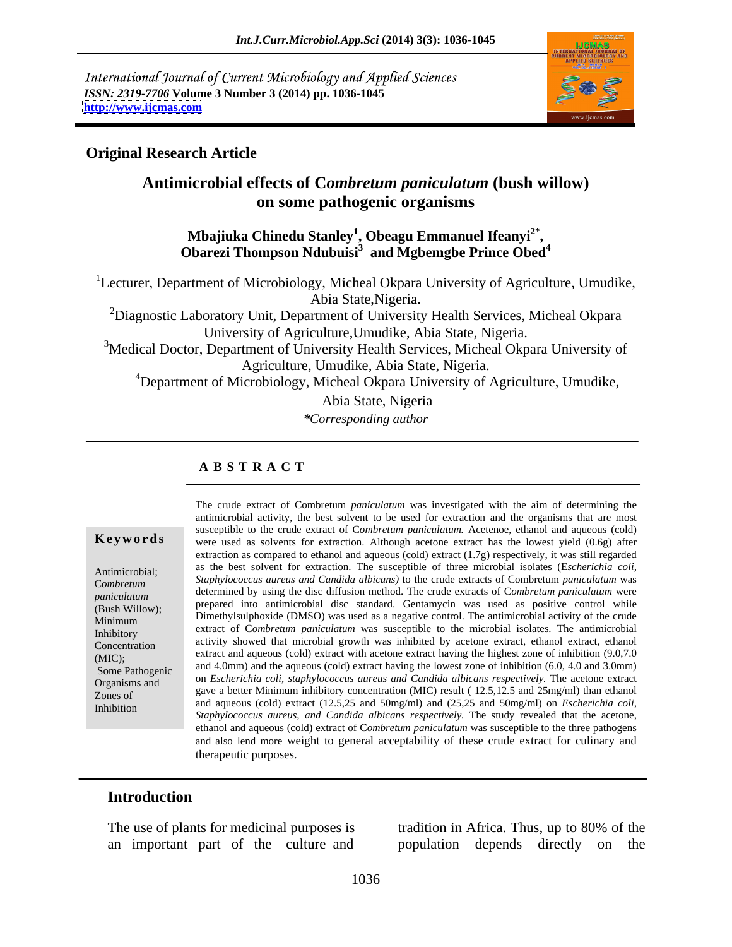International Journal of Current Microbiology and Applied Sciences *ISSN: 2319-7706* **Volume 3 Number 3 (2014) pp. 1036-1045 <http://www.ijcmas.com>**



### **Original Research Article**

## **Antimicrobial effects of C***ombretum paniculatum* **(bush willow) on some pathogenic organisms**

### **Mbajiuka Chinedu Stanley<sup>1</sup> , Obeagu Emmanuel Ifeanyi2\* , Obarezi Thompson Ndubuisi<sup>3</sup> and Mgbemgbe Prince Obed<sup>4</sup>**

<sup>1</sup>Lecturer, Department of Microbiology, Micheal Okpara University of Agriculture, Umudike, Abia State,Nigeria.

<sup>2</sup>Diagnostic Laboratory Unit, Department of University Health Services, Micheal Okpara University of Agriculture,Umudike, Abia State, Nigeria.

<sup>3</sup>Medical Doctor, Department of University Health Services, Micheal Okpara University of Agriculture, Umudike, Abia State, Nigeria.

<sup>4</sup>Department of Microbiology, Micheal Okpara University of Agriculture, Umudike,

Abia State, Nigeria

*\*Corresponding author*

## **A B S T R A C T**

**Keywords** were used as solvents for extraction. Although acetone extract has the lowest yield (0.6g) after Antimicrobial; as the best solvent for extraction. The susceptible of three microbial isolates (Escherichia coli, *Combretum Staphylococcus aureus and Candida albicans*) to the crude extracts of Combretum paniculatum was Combretum *paniculatum* determined by using the disc diffusion method. The crude extracts of Combretum paniculatum were (Bush Willow); prepared into antimicrobial disc standard. Gentamycin was used as positive control while Minimum Dimethylsulphoxide (DMSO) was used as a negative control. The antimicrobial activity of the crude Minimum Inhibitory exilect of *Combretum pantentium* was susceptible to the interiorial isolates. The antificiously minimized activity showed that microbial growth was inhibited by acetone extract, ethanol extract, ethanol concentration (MIC); extract and aqueous (cold) extract with acetone extract having the highest zone of infinition  $(9.0, 7.0)$ Some Pathogenic and 4.0mm) and the aqueous (cold) extract having the lowest zone of inhibition  $(6.0, 4.0 \text{ and } 3.0 \text{mm})$ Organisms and on *Escherichia coli, staphylococcus aureus and Candida albicans respectively.* The acetone extract  $Z$ ones of gave a better Minimum inhibitory concentration (MIC) result ( 12.5,12.5 and 25mg/ml) than ethanol zones of The crude extract of Combretum *paniculatum* was investigated with the aim of determining the sinustic contraction and the crude extract of combretum *paniculatum*. Acetenoe, ethanol and aqueous (cold) were used as solvent antimicrobial activity, the best solvent to be used for extraction and the organisms that are most susceptible to the crude extract of C*ombretum paniculatum.* Acetenoe, ethanol and aqueous (cold) extraction as compared to ethanol and aqueous (cold) extract (1.7g) respectively, it was still regarded *Staphylococcus aureus and Candida albicans*) to the crude extracts of Combretum *paniculatum* was<br>determined by using the disc diffusion method. The crude extracts of Combretum *paniculatum* were<br>prepared into antimicrobi extract of C*ombretum paniculatum* was susceptible to the microbial isolates. The antimicrobial extract and aqueous (cold) extract with acetone extract having the highest zone of inhibition (9.0,7.0 and aqueous (cold) extract (12.5,25 and 50mg/ml) and (25,25 and 50mg/ml) on *Escherichia coli,* Staphylococcus aureus, and Candida albicans respectively. The study revealed that the acetone, ethanol and aqueous (cold) extract of Combretum paniculatum was susceptible to the three pathogens and also lend more weight to general acceptability of these crude extract for culinary and therapeutic purposes.

### **Introduction**

The use of plants for medicinal purposes is tradition in Africa. Thus, up to 80% of the

an important part of the culture and population depends directly on the tradition in Africa. Thus, up to 80% of the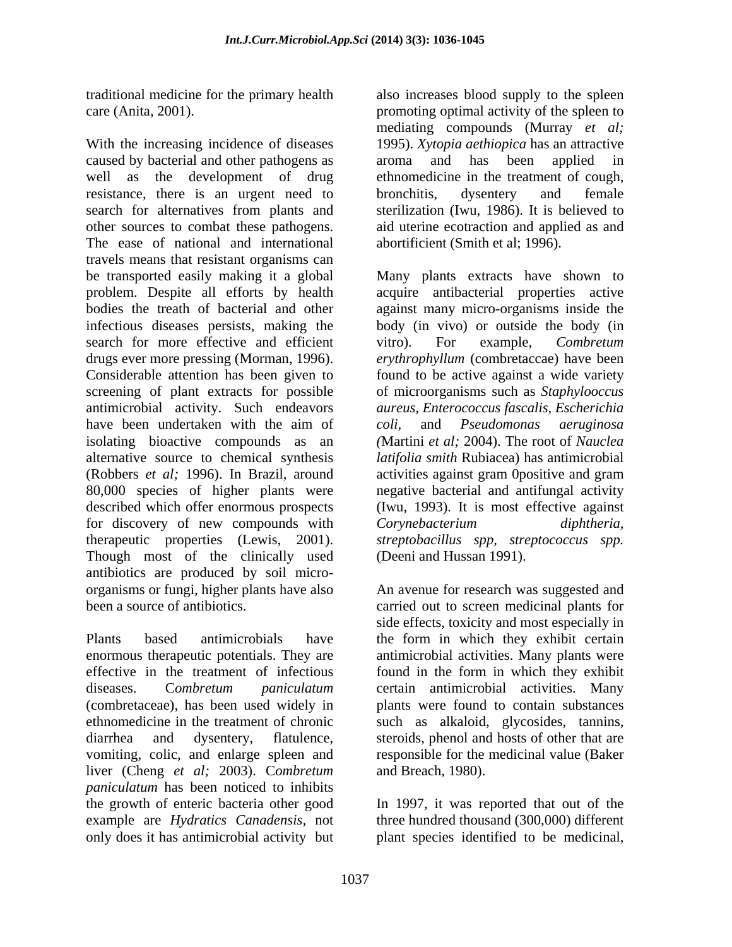With the increasing incidence of diseases 1995). *Xytopia aethiopica* has an attractive caused by bacterial and other pathogens as aroma and has been applied in well as the development of drug ethnomedicine in the treatment of cough, resistance, there is an urgent need to bronchitis, dysentery and female search for alternatives from plants and other sources to combat these pathogens. aid uterine ecotraction and applied as and The ease of national and international travels means that resistant organisms can be transported easily making it a global Many plants extracts have shown to problem. Despite all efforts by health acquire antibacterial properties active bodies the treath of bacterial and other against many micro-organisms inside the infectious diseases persists, making the body (in vivo) or outside the body (in search for more effective and efficient vitro). For example, *Combretum* drugs ever more pressing (Morman, 1996). Considerable attention has been given to screening of plant extracts for possible of microorganisms such as *Staphylooccus* antimicrobial activity. Such endeavors *aureus, Enterococcus fascalis, Escherichia*  have been undertaken with the aim of coli, and Pseudomonas aeruginosa isolating bioactive compounds as an *(*Martini *et al;* 2004). The root of *Nauclea*  alternative source to chemical synthesis *latifolia smith* Rubiacea) has antimicrobial (Robbers *et al;* 1996). In Brazil, around 80,000 species of higher plants were described which offer enormous prospects (Iwu, 1993). It is most effective against for discovery of new compounds with Corynebacterium diphtheria, therapeutic properties (Lewis, 2001). *streptobacillus spp, streptococcus spp.* Though most of the clinically used antibiotics are produced by soil micro organisms or fungi, higher plants have also An avenue for research was suggested and

Plants based antimicrobials have the form in which they exhibit certain enormous therapeutic potentials. They are effective in the treatment of infectious found in the form in which they exhibit diseases. C*ombretum paniculatum* certain antimicrobial activities. Many (combretaceae), has been used widely in plants were found to contain substances ethnomedicine in the treatment of chronic such as alkaloid, glycosides, tannins, diarrhea and dysentery, flatulence, steroids, phenol and hosts of other that are vomiting, colic, and enlarge spleen and liver (Cheng *et al;* 2003). C*ombretum paniculatum* has been noticed to inhibits the growth of enteric bacteria other good In 1997, it was reported that out of the example are *Hydratics Canadensis,* not three hundred thousand (300,000) different only does it has antimicrobial activity but plant species identified to be medicinal,

traditional medicine for the primary health also increases blood supply to the spleen care (Anita, 2001). promoting optimal activity of the spleen to mediating compounds (Murray *et al;* aroma and has been applied in bronchitis, dysentery and female sterilization (Iwu, 1986). It is believed to abortificient (Smith et al; 1996).

> vitro). For example*, Combretum erythrophyllum* (combretaccae) have been found to be active against a wide variety *coli,* and *Pseudomonas aeruginosa* activities against gram 0positive and gram negative bacterial and antifungal activity *Corynebacterium diphtheria,* (Deeni and Hussan 1991).

been a source of antibiotics. carried out to screen medicinal plants for side effects, toxicity and most especially in antimicrobial activities. Many plants were responsible for the medicinal value (Baker and Breach, 1980).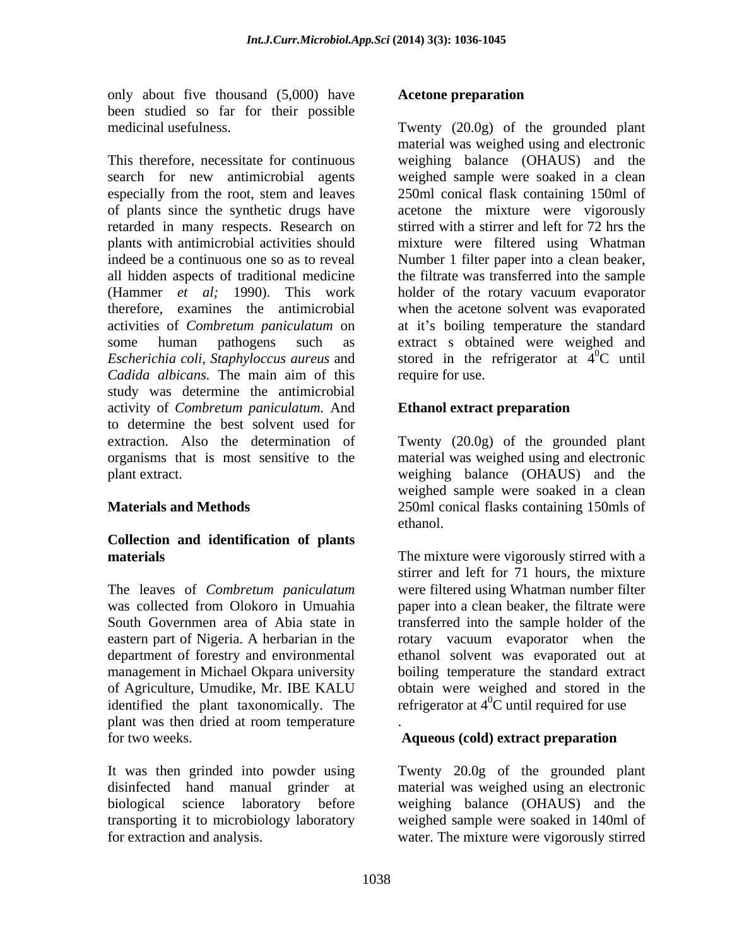only about five thousand (5,000) have been studied so far for their possible

This therefore, necessitate for continuous weighing balance (OHAUS) and the search for new antimicrobial agents weighed sample were soaked in a clean especially from the root, stem and leaves 250ml conical flask containing 150ml of of plants since the synthetic drugs have acetone the mixture were vigorously retarded in many respects. Research on plants with antimicrobial activities should mixture were filtered using Whatman indeed be a continuous one so as to reveal Number1 filter paper into a clean beaker, all hidden aspects of traditional medicine (Hammer *et al;* 1990). This work therefore, examines the antimicrobial when the acetone solvent was evaporated activities of *Combretum paniculatum* on at it's boiling temperature the standard some human pathogens such as extract s obtained were weighed and *Escherichia coli, Staphyloccus aureus* and stored in the refrigerator at 4 *Cadida albicans.* The main aim of this study was determine the antimicrobial activity of *Combretum paniculatum.* And to determine the best solvent used for extraction. Also the determination of Twenty (20.0g) of the grounded plant organisms that is most sensitive to the material was weighed using and electronic plant extract. weighing balance (OHAUS) and the

## **Collection and identification of plants**

The leaves of *Combretum paniculatum* identified the plant taxonomically. The plant was then dried at room temperature for two weeks. **Aqueous (cold) extract preparation Aqueous** (cold) extract preparation

It was then grinded into powder using Twenty 20.0g of the grounded plant disinfected hand manual grinder at material was weighed using an electronic biological science laboratory before weighing balance (OHAUS) and the transporting it to microbiology laboratory weighed sample were soaked in 140ml of for extraction and analysis. water. The mixture were vigorously stirred

### **Acetone preparation**

medicinal usefulness. Twenty (20.0g) of the grounded plant material was weighed using and electronic stirred with a stirrer and left for 72 hrs the the filtrate was transferred into the sample holder of the rotary vacuum evaporator  ${}^{0}C$  until require for use.

### **Ethanol extract preparation**

**Materials and Methods** 250ml conical flasks containing 150mls of weighed sample were soaked in a clean ethanol.

**materials** The mixture were vigorously stirred with a material was collected from Olokoro in Umuahia paper into a clean beaker, the filtrate were South Governmen area of Abia state in transferred into the sample holder of the eastern part of Nigeria. A herbarian in the rotary vacuum evaporator when the department of forestry and environmental ethanol solvent was evaporated out at management in Michael Okpara university boiling temperature the standard extract of Agriculture, Umudike, Mr. IBE KALU obtain were weighed and stored in the stirrer and left for 71 hours, the mixture were filtered using Whatman number filter refrigerator at  $4^{\circ}$ C until required for use

. A construction of the construction of the construction of the construction of the construction of the construction of the construction of the construction of the construction of the construction of the construction of th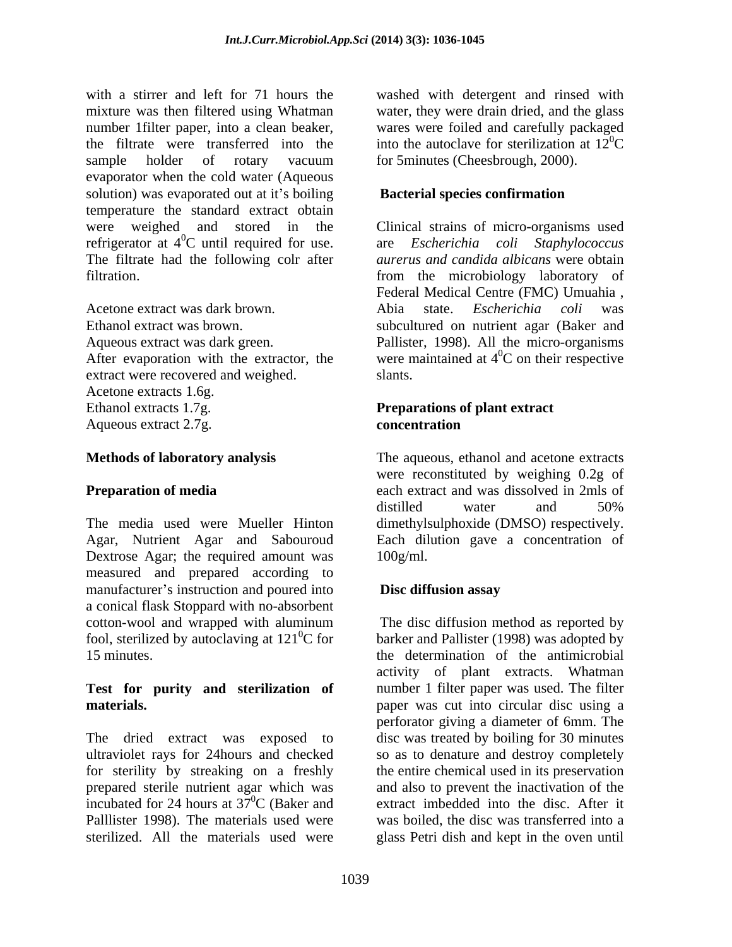with a stirrer and left for 71 hours the washed with detergent and rinsed with mixture was then filtered using Whatman water, they were drain dried, and the glass number 1filter paper, into a clean beaker, the filtrate were transferred into the into the autoclave for sterilization at  $12^{\circ}$ C sample holder of rotary vacuum for 5minutes (Cheesbrough, 2000). evaporator when the cold water (Aqueous solution) was evaporated out at it's boiling temperature the standard extract obtain were weighed and stored in the Clinical strains of micro-organisms used refrigerator at  $4^{\circ}$ C until required for use. are *Escherichia coli Staphylococcus* The filtrate had the following colr after

Acetone extract was dark brown. extract were recovered and weighed. Slants. Acetone extracts 1.6g. Ethanol extracts 1.7g. **Preparations of plant extract** Aqueous extract 2.7g. concentration

The media used were Mueller Hinton dimethylsulphoxide (DMSO) respectively. Agar, Nutrient Agar and Sabouroud Each dilution gave a concentration of Dextrose Agar; the required amount was 100g/ml. measured and prepared according to manufacturer's instruction and poured into **Disc diffusion assay** a conical flask Stoppard with no-absorbent cotton-wool and wrapped with aluminum<br>fool, sterilized by autoclaving at  $121^0C$  for

wares were foiled and carefully packaged  ${}^{0}C$ for 5minutes (Cheesbrough, 2000).

### **Bacterial species confirmation**

 ${}^{0}C$  until required for use. are *Escherichia coli Staphylococcus* filtration. from the microbiology laboratory of Ethanol extract was brown. subcultured on nutrient agar (Baker and Aqueous extract was dark green. Pallister, 1998). All the micro-organisms After evaporation with the extractor, the were maintained at  $4^{\circ}$ C on their respective are *Escherichia coli Staphylococcus aurerus and candida albicans* were obtain Federal Medical Centre (FMC) Umuahia , Abia state. *Escherichia coli* was  ${}^{0}C$  on their respective slants.

## **concentration**

**Methods of laboratory analysis** The aqueous, ethanol and acetone extracts **Preparation of media** each extract and was dissolved in 2mls of were reconstituted by weighing 0.2g of distilled water and 50% 100g/ml.

## **Disc diffusion assay**

fool, sterilized by autoclaving at 121<sup>0</sup>C for barker and Pallister (1998) was adopted by 15 minutes. the determination of the antimicrobial **Test for purity and sterilization of** number 1 filter paper was used. The filter **materials. example 1 paper** was cut into circular disc using a The dried extract was exposed to disc was treated by boiling for 30 minutes ultraviolet rays for 24hours and checked so as to denature and destroy completely for sterility by streaking on a freshly the entire chemical used in its preservation prepared sterile nutrient agar which was and also to prevent the inactivation of the incubated for 24 hours at  $37^{\circ}$ C (Baker and extract imbedded into the disc. After it Palllister 1998). The materials used were was boiled, the disc was transferred into a sterilized. All the materials used were glass Petri dish and kept in the oven untilThe disc diffusion method as reported by activity of plant extracts. Whatman perforator giving a diameter of 6mm. The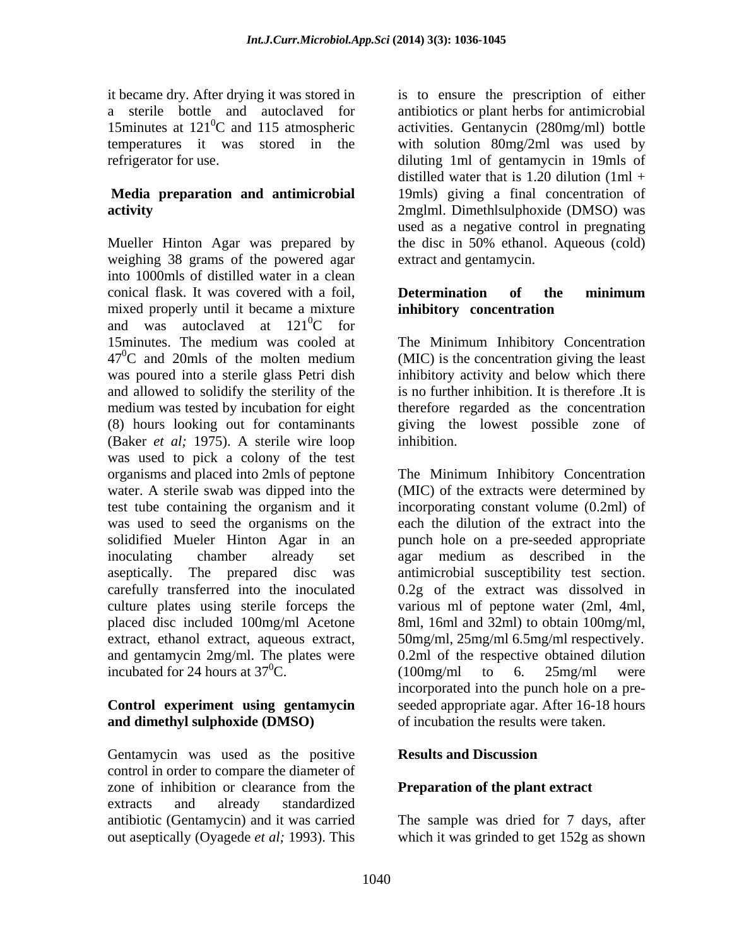## **Media preparation and antimicrobial**

Mueller Hinton Agar was prepared by the disc in 50% ethanol. Aqueous (cold) weighing 38 grams of the powered agar into 1000mls of distilled water in a clean conical flask. It was covered with a foil. **Determination** of the minimum mixed properly until it became a mixture and was autoclaved at  $121^0C$  for  ${}^{0}C$  for 15minutes. The medium was cooled at The Minimum Inhibitory Concentration  $47^{\circ}$ C and 20mls of the molten medium (MIC) is the concentration giving the least was poured into a sterile glass Petri dish inhibitory activity and below which there and allowed to solidify the sterility of the medium was tested by incubation for eight (8) hours looking out for contaminants giving the lowest possible zone of (Baker *et al;* 1975). A sterile wire loop was used to pick a colony of the test organisms and placed into 2mls of peptone The Minimum Inhibitory Concentration water. A sterile swab was dipped into the (MIC) of the extracts were determined by test tube containing the organism and it incorporating constant volume (0.2ml) of was used to seed the organisms on the each the dilution of the extract into the solidified Mueler Hinton Agar in an inoculating chamber already set agar medium as described in the aseptically. The prepared disc was antimicrobial susceptibility test section. carefully transferred into the inoculated 0.2g of the extract was dissolved in culture plates using sterile forceps the placed disc included 100mg/ml Acetone 8ml, 16ml and 32ml) to obtain 100mg/ml, extract, ethanol extract, aqueous extract, 50mg/ml, 25mg/ml 6.5mg/ml respectively. and gentamycin 2mg/ml. The plates were 0.2ml of the respective obtained dilution incubated for 24 hours at  $37^0$ C. (100mg/ml to 6. 25mg/ml were

# **and dimethyl sulphoxide (DMSO)**

Gentamycin was used as the positive **Results and Discussion** control in order to compare the diameter of zone of inhibition or clearance from the **Preparation of the plant extract** extracts and already standardized antibiotic (Gentamycin) and it was carried out aseptically (Oyagede *et al;* 1993). This

it became dry. After drying it was stored in is to ensure the prescription of either a sterile bottle and autoclaved for antibiotics or plant herbs for antimicrobial 15minutes at 121<sup>0</sup>C and 115 atmospheric activities. Gentanycin (280mg/ml) bottle temperatures it was stored in the with solution 80mg/2ml was used by refrigerator for use. diluting 1ml of gentamycin in 19mls of **activity**  2mglml. Dimethlsulphoxide (DMSO) was distilled water that is 1.20 dilution  $(1ml +$ 19mls) giving a final concentration of used as a negative control in pregnating extract and gentamycin.

### **Determination of the minimum inhibitory concentration**

(MIC) is the concentration giving the least is no further inhibition. It is therefore .It is therefore regarded as the concentration inhibition.

**Control experiment using gentamycin** seeded appropriate agar. After 16-18 hours punch hole on a pre-seeded appropriate various ml of peptone water (2ml, 4ml, (100mg/ml to 6. 25mg/ml were incorporated into the punch hole on a pre of incubation the results were taken.

## **Results and Discussion**

### **Preparation of the plant extract**

The sample was dried for 7 days, after which it was grinded to get 152g as shown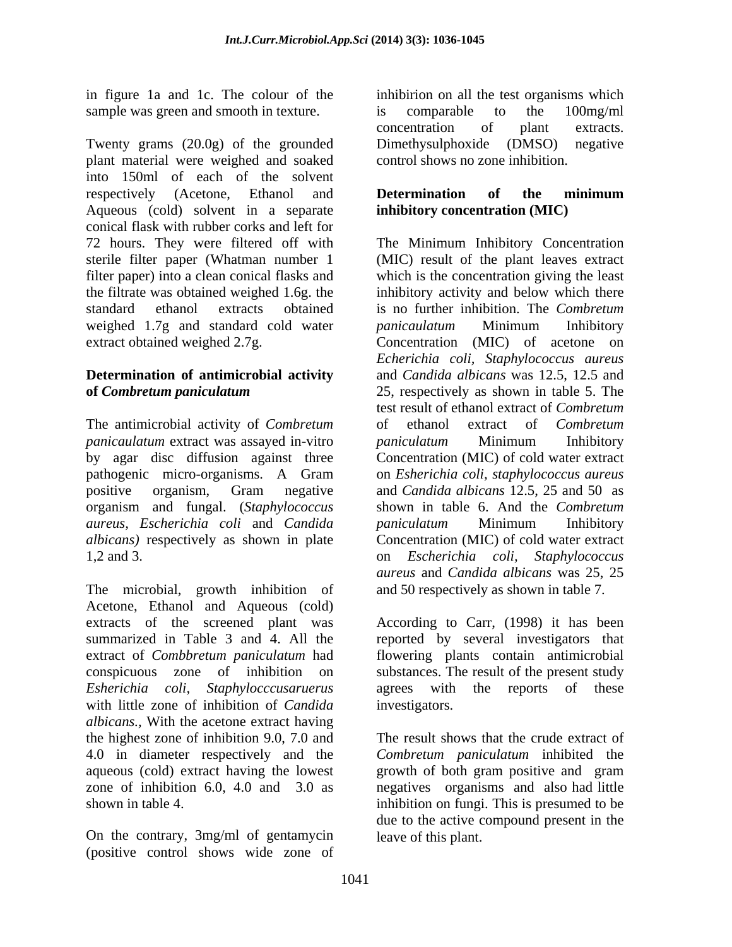in figure 1a and 1c. The colour of the sample was green and smooth in texture.  $\frac{100 \text{ mg}}{100 \text{ mg}}$ 

Twenty grams (20.0g) of the grounded Dimethysulphoxide (DMSO) negative plant material were weighed and soaked into 150ml of each of the solvent respectively (Acetone, Ethanol and **Determination of the minimum** Aqueous (cold) solvent in a separate conical flask with rubber corks and left for 72 hours. They were filtered off with The Minimum Inhibitory Concentration sterile filter paper (Whatman number 1 filter paper) into a clean conical flasks and which is the concentration giving the least the filtrate was obtained weighed 1.6g. the inhibitory activity and below which there standard ethanol extracts obtained is no further inhibition. The *Combretum*  weighed 1.7g and standard cold water *panicaulatum* Minimum Inhibitory extract obtained weighed 2.7g. Concentration (MIC) of acetone on

## **Determination of antimicrobial activity**

The antimicrobial activity of *Combretum panicaulatum* extract was assayed in-vitro *paniculatum* Minimum Inhibitory by agar disc diffusion against three organism and fungal. (*Staphylococcus aureus, Escherichia coli* and *Candida*  1,2 and 3. The contract of the contract of the stage of the stage of the stage of the stage of the stage of the stage of the stage of the stage of the stage of the stage of the stage of the stage of the stage of the stage

The microbial, growth inhibition of Acetone, Ethanol and Aqueous (cold) extracts of the screened plant was According to Carr, (1998) it has been summarized in Table 3 and 4. All the reported by several investigators that extract of *Combbretum paniculatum* had flowering plants contain antimicrobial conspicuous zone of inhibition on substances. The result of the present study *Esherichia coli, Staphylocccusaruerus* agrees with the reports of these with little zone of inhibition of *Candida albicans.,* With the acetone extract having the highest zone of inhibition 9.0, 7.0 and 4.0 in diameter respectively and the aqueous (cold) extract having the lowest growth of both gram positive and gram zone of inhibition 6.0, 4.0 and 3.0 as negatives organisms and also had little shown in table 4. inhibition on fungi. This is presumed to be

On the contrary, 3mg/ml of gentamycin (positive control shows wide zone of inhibirion on all the test organisms which is comparable to the 100mg/ml concentration of plant extracts. Dimethysulphoxide (DMSO) negative control shows no zone inhibition.

### **Determination of the minimum inhibitory concentration (MIC)**

**of** *Combretum paniculatum* 25, respectively as shown in table 5. The pathogenic micro-organisms. A Gram on *Esherichia coli, staphylococcus aureus* positive organism, Gram negative and *Candida albicans* 12.5, 25 and 50 as *albicans)* respectively as shown in plate Concentration (MIC) of cold water extract (MIC) result of the plant leaves extract *panicaulatum* Minimum Inhibitory *Echerichia coli, Staphylococcus aureus* and *Candida albicans* was 12.5, 12.5 and test result of ethanol extract of *Combretum* of ethanol extract of *Combretum paniculatum* Minimum Inhibitory Concentration (MIC) of cold water extract shown in table 6. And the *Combretum paniculatum* Minimum Inhibitory on *Escherichia coli, Staphylococcus aureus* and *Candida albicans* was 25, 25 and 50 respectively as shown in table 7.

investigators.

The result shows that the crude extract of *Combretum paniculatum* inhibited the due to the active compound present in the leave of this plant.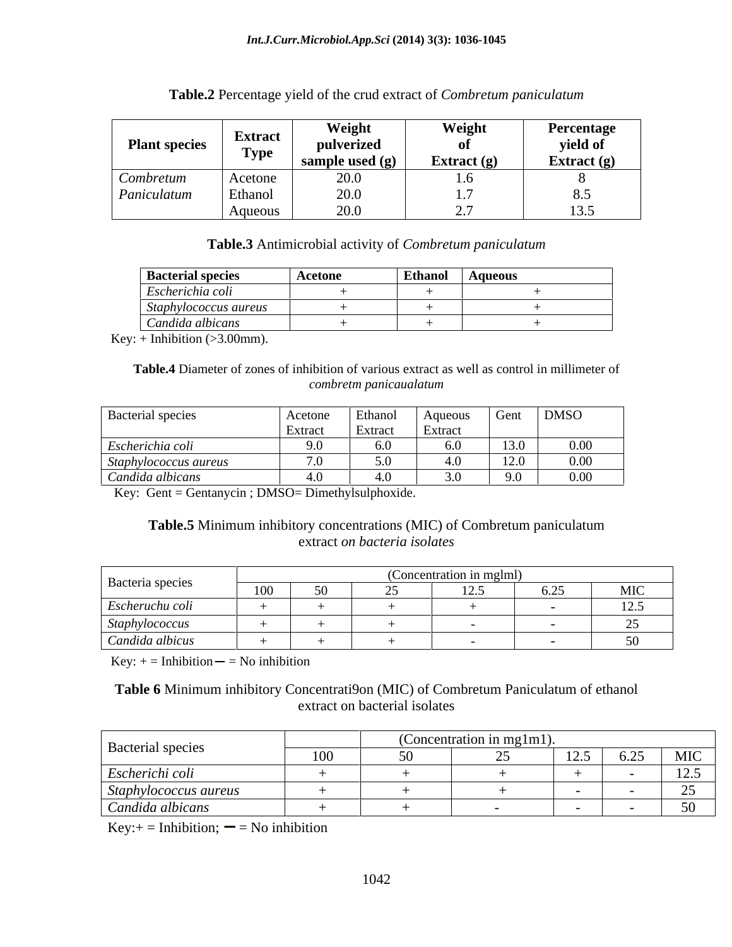### **Table.2** Percentage yield of the crud extract of *Combretum paniculatum*

### **Table.3** Antimicrobial activity of *Combretum paniculatum*

| <b>Bacterial species</b> | Acetone | <b>Ethanol</b> | Aqueous |
|--------------------------|---------|----------------|---------|
| Escherichia coli         |         |                |         |
| Staphylococcus aureus    |         |                |         |
| Candida albicans         |         |                |         |

Key:  $+$  Inhibition ( $>3.00$ mm).

**Table.4** Diameter of zones of inhibition of various extract as well as control in millimeter of *combretm panicaualatum*

| <b>Bacterial species</b>            | Acetone       | Ethanol            | Aqueous       | Gent                       | <b>DMSO</b> |
|-------------------------------------|---------------|--------------------|---------------|----------------------------|-------------|
|                                     | Extrac.       | $\mathsf{Extract}$ | Extrac        |                            |             |
| Escherichia coli                    | $\sim$ $\sim$ | 6.0                |               | 13.0                       | $0.00\,$    |
| <i><b>Staphylococcus aureus</b></i> |               | 50                 |               | $1 \cap \Omega$<br>44.U    | $0.00\,$    |
| Candida albicans                    |               | 4.0                | $\sim$ $\sim$ | $\Omega$ $\Omega$<br>, . J | $0.00\,$    |

Key: Gent = Gentanycin ; DMSO= Dimethylsulphoxide.

### **Table.5** Minimum inhibitory concentrations (MIC) of Combretum paniculatum extract *on bacteria isolates*

|                  | Concentration in mgl |  |  |     |  |                          |  |
|------------------|----------------------|--|--|-----|--|--------------------------|--|
| Bacteria species | 100                  |  |  | 125 |  | MIC                      |  |
| Escheruchu coli  |                      |  |  |     |  | 125<br>14.J              |  |
| Staphylococcus   |                      |  |  |     |  | $\sim$ $\sim$            |  |
| Candida albicus  |                      |  |  |     |  | $\mathbb{R}^n$<br>$\cup$ |  |

 $Key: += Inhibition — = No inhibition$ 

### **Table 6** Minimum inhibitory Concentrati9on (MIC) of Combretum Paniculatum of ethanol extract on bacterial isolates

|                       | (Concentration in mg1m1) |  |  |                          |      |      |
|-----------------------|--------------------------|--|--|--------------------------|------|------|
| Bacterial species     | 100<br>1 UV              |  |  | 125<br>$1 \angle . \cup$ | 6.25 | MIC  |
| Escherichi coli       |                          |  |  |                          |      | 125  |
| Staphylococcus aureus |                          |  |  |                          |      |      |
| Candida albicans      |                          |  |  |                          |      | 50 V |

 $Key:+=Inhibition; = No inhibition$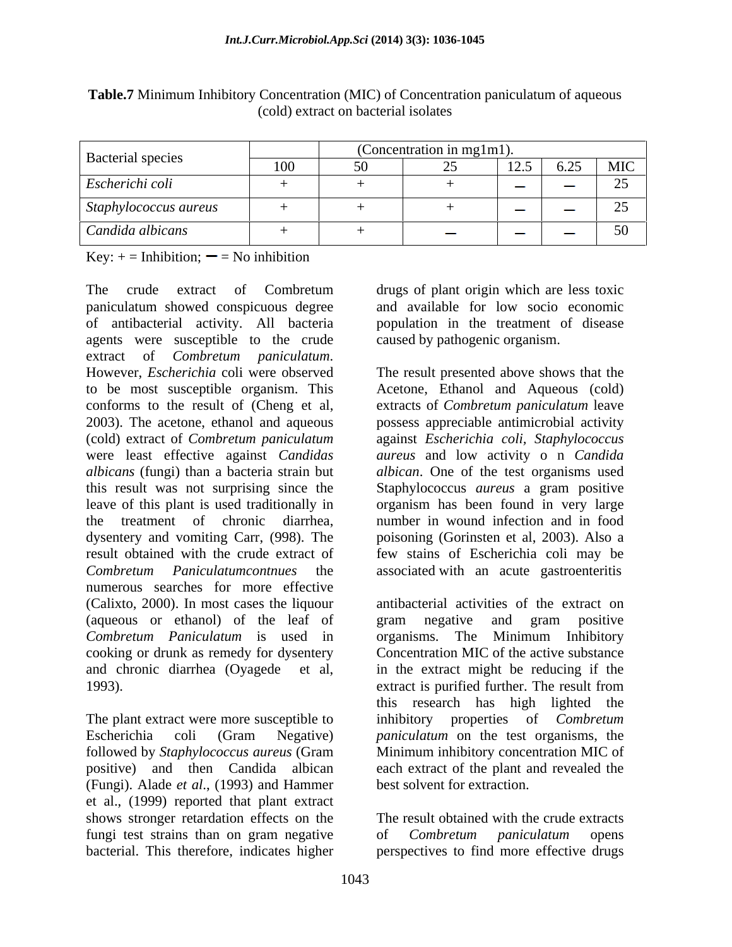|                          |     | (Concentration in mg1m1). |                                                 |                          |                     |
|--------------------------|-----|---------------------------|-------------------------------------------------|--------------------------|---------------------|
| <b>Bacterial species</b> | 100 |                           | 125<br>$\mathbf{1} \mathbf{2} \cdot \mathbf{3}$ | 6.25<br>0.4J             | MIC                 |
| Escherichi coli          |     |                           |                                                 | <b>Communication</b>     |                     |
| Staphylococcus aureus    |     |                           | <b>Contract</b>                                 | <b>Contract Contract</b> |                     |
| Candida albicans         |     | <b>Comment</b>            |                                                 | <b>Commercial</b>        | 50<br>$\sim$ $\sim$ |

**Table.7** Minimum Inhibitory Concentration (MIC) of Concentration paniculatum of aqueous (cold) extract on bacterial isolates

Key:  $+$  = Inhibition;  $-$  = No inhibition

The crude extract of Combretum drugs of plant origin which are less toxic paniculatum showed conspicuous degree and available for low socio economic of antibacterial activity. All bacteria agents were susceptible to the crude extract of *Combretum paniculatum*. However, *Escherichia* coli were observed to be most susceptible organism. This conforms to the result of (Cheng et al, extracts of *Combretum paniculatum* leave 2003). The acetone, ethanol and aqueous possess appreciable antimicrobial activity (cold) extract of *Combretum paniculatum* against *Escherichia coli, Staphylococcus* were least effective against *Candidas aureus* and low activity o n *Candida albicans* (fungi) than a bacteria strain but this result was not surprising since the Staphylococcus *aureus* a gram positive leave of this plant is used traditionally in organism has been found in very large the treatment of chronic diarrhea, number in wound infection and in food dysentery and vomiting Carr, (998). The poisoning (Gorinsten et al, 2003). Also a result obtained with the crude extract of few stains of Escherichia coli may be *Combretum Paniculatumcontnues* the associated with an acute gastroenteritis numerous searches for more effective (Calixto, 2000). In most cases the liquour (aqueous or ethanol) of the leaf of *Combretum Paniculatum* is used in cooking or drunk as remedy for dysentery and chronic diarrhea (Oyagede et al,

positive) and then Candida albican (Fungi). Alade *et al*., (1993) and Hammer et al., (1999) reported that plant extract shows stronger retardation effects on the fungi test strains than on gram negative of *Combretum paniculatum* opens bacterial. This therefore, indicates higher perspectives to find more effective drugs

and available for low socio economic population in the treatment of disease caused by pathogenic organism.

The result presented above shows that the Acetone, Ethanol and Aqueous (cold) *albican*. One of the test organisms used Staphylococcus *aureus* a gram positive

1993). extract is purified further. The result from The plant extract were more susceptible to inhibitory properties of *Combretum*  Escherichia coli (Gram Negative) *paniculatum* on the test organisms, the followed by *Staphylococcus aureus* (Gram Minimum inhibitory concentration MIC of antibacterial activities of the extract on gram negative and gram positive organisms. The Minimum Inhibitory Concentration MIC of the active substance in the extract might be reducing if the this research has high lighted the each extract of the plant and revealed the best solvent for extraction.

> The result obtained with the crude extracts of *Combretum paniculatum* opens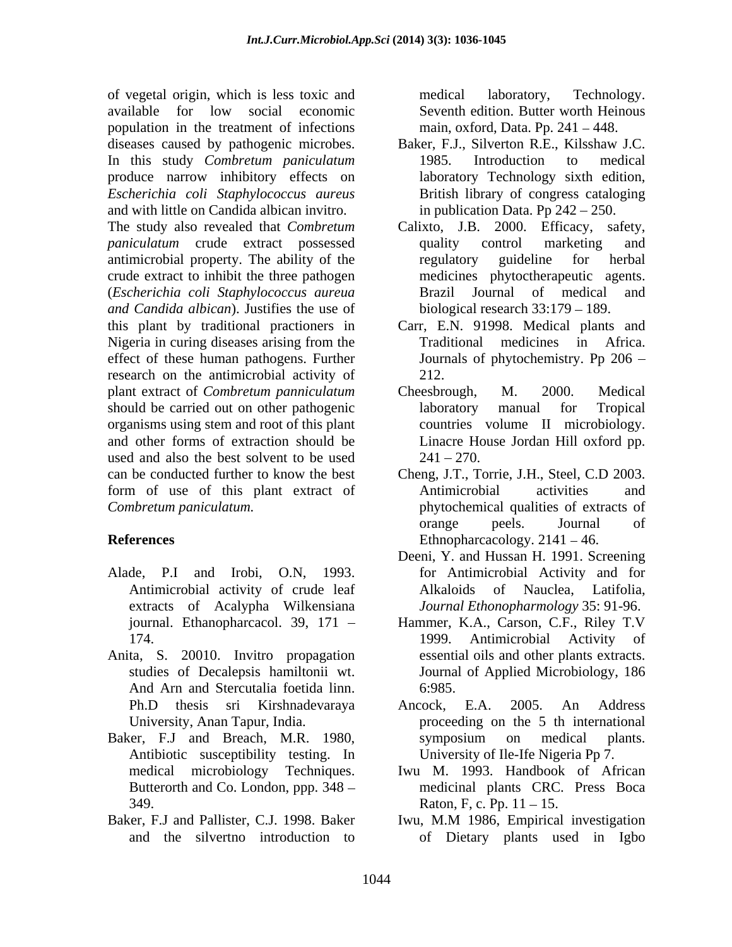of vegetal origin, which is less toxic and available for low social economic population in the treatment of infections diseases caused by pathogenic microbes. Baker, F.J., Silverton R.E., Kilsshaw J.C. In this study *Combretum paniculatum* produce narrow inhibitory effects on *Escherichia coli Staphylococcus aureus* and with little on Candida albican invitro. *paniculatum* crude extract possessed quality control marketing and antimicrobial property. The ability of the crude extract to inhibit the three pathogen (*Escherichia coli Staphylococcus aureua and Candida albican*). Justifies the use of this plant by traditional practioners in Carr, E.N. 91998. Medical plants and Nigeria in curing diseases arising from the effect of these human pathogens. Further research on the antimicrobial activity of 212. plant extract of *Combretum panniculatum* should be carried out on other pathogenic laboratory manual for Tropical organisms using stem and root of this plant and other forms of extraction should be used and also the best solvent to be used  $241 - 270$ . can be conducted further to know the best Cheng, J.T., Torrie, J.H., Steel, C.D 2003. form of use of this plant extract of *Combretum paniculatum.* phytochemical qualities of extracts of

- Antimicrobial activity of crude leaf extracts of Acalypha Wilkensiana
- Anita, S. 20010. Invitro propagation And Arn and Stercutalia foetida linn. 6:985.
- Baker, F.J and Breach, M.R. 1980, Antibiotic susceptibility testing. In
- 

medical laboratory, Technology. Seventh edition. Butter worth Heinous main, oxford, Data. Pp.  $241 - 448$ .

- 1985. Introduction to medical laboratory Technology sixth edition, British library of congress cataloging in publication Data. Pp  $242 - 250$ .
- The study also revealed that *Combretum*  Calixto, J.B. 2000. Efficacy, safety, quality control marketing and regulatory guideline for herbal medicines phytoctherapeutic agents. Brazil Journal of medical biological research  $33:179 - 189$ .
	- Traditional medicines in Africa. Journals of phytochemistry. Pp 206 212.
	- Cheesbrough, M. 2000. Medical laboratory manual for Tropical countries volume II microbiology. Linacre House Jordan Hill oxford pp.<br>241 – 270.
- **References** Ethnopharcacology. 2141 46. Antimicrobial activities and orange peels. Journal of
- Alade, P.I and Irobi, O.N, 1993. for Antimicrobial Activity and for Deeni, Y. and Hussan H. 1991. Screening of Nauclea, Latifolia, *Journal Ethonopharmology* 35: 91-96.
	- journal. Ethanopharcacol. 39, 171 Hammer, K.A., Carson, C.F., Riley T.V 174. 1999. Antimicrobial Activity of studies of Decalepsis hamiltonii wt. Journal of Applied Microbiology, 186 1999. Antimicrobial Activity of essential oils and other plants extracts. 6:985.
	- Ph.D thesis sri Kirshnadevaraya University, Anan Tapur, India. proceeding on the 5 th international Ancock, E.A. 2005. An Address symposium on medical plants. University of Ile-Ife Nigeria Pp 7.
	- medical microbiology Techniques. Iwu M. 1993. Handbook of African Butterorth and Co. London, ppp. 348 medicinal plants CRC. Press Boca 349. Raton, F, c. Pp. 11 – 15.
- Baker, F.J and Pallister, C.J. 1998. Baker Iwu, M.M 1986, Empirical investigation and the silvertno introduction to of Dietary plants used in IgboIwu, M.M 1986, Empirical investigation